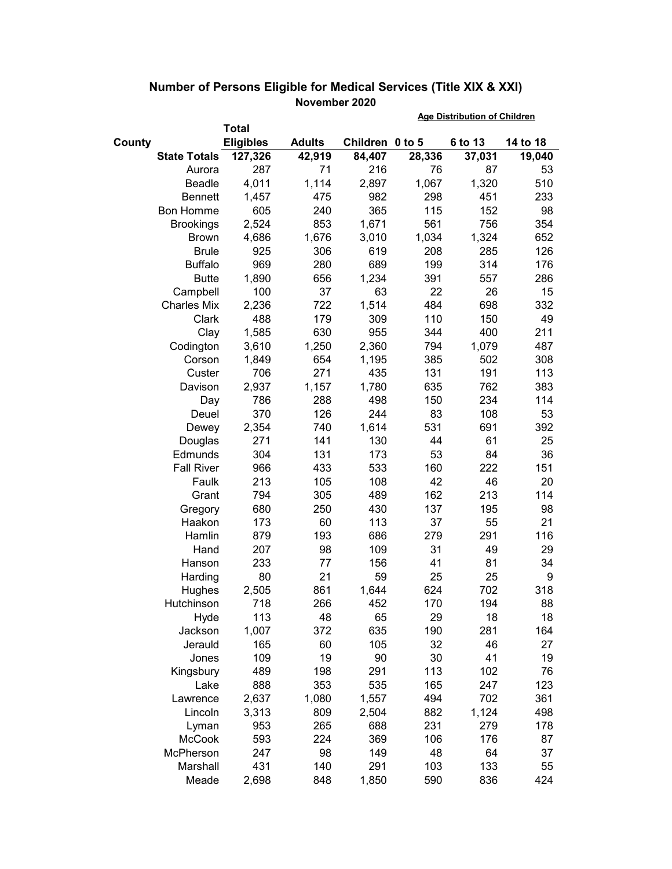|        |                     |                  |               |                 | <b>Age Distribution of Children</b> |         |          |  |
|--------|---------------------|------------------|---------------|-----------------|-------------------------------------|---------|----------|--|
|        |                     | <b>Total</b>     |               |                 |                                     |         |          |  |
| County |                     | <b>Eligibles</b> | <b>Adults</b> | Children 0 to 5 |                                     | 6 to 13 | 14 to 18 |  |
|        | <b>State Totals</b> | 127,326          | 42,919        | 84,407          | 28,336                              | 37,031  | 19,040   |  |
|        | Aurora              | 287              | 71            | 216             | 76                                  | 87      | 53       |  |
|        | Beadle              | 4,011            | 1,114         | 2,897           | 1,067                               | 1,320   | 510      |  |
|        | <b>Bennett</b>      | 1,457            | 475           | 982             | 298                                 | 451     | 233      |  |
|        | <b>Bon Homme</b>    | 605              | 240           | 365             | 115                                 | 152     | 98       |  |
|        | <b>Brookings</b>    | 2,524            | 853           | 1,671           | 561                                 | 756     | 354      |  |
|        | <b>Brown</b>        | 4,686            | 1,676         | 3,010           | 1,034                               | 1,324   | 652      |  |
|        | <b>Brule</b>        | 925              | 306           | 619             | 208                                 | 285     | 126      |  |
|        | <b>Buffalo</b>      | 969              | 280           | 689             | 199                                 | 314     | 176      |  |
|        | <b>Butte</b>        | 1,890            | 656           | 1,234           | 391                                 | 557     | 286      |  |
|        | Campbell            | 100              | 37            | 63              | 22                                  | 26      | 15       |  |
|        | <b>Charles Mix</b>  | 2,236            | 722           | 1,514           | 484                                 | 698     | 332      |  |
|        | Clark               | 488              | 179           | 309             | 110                                 | 150     | 49       |  |
|        | Clay                | 1,585            | 630           | 955             | 344                                 | 400     | 211      |  |
|        | Codington           | 3,610            | 1,250         | 2,360           | 794                                 | 1,079   | 487      |  |
|        | Corson              | 1,849            | 654           | 1,195           | 385                                 | 502     | 308      |  |
|        | Custer              | 706              | 271           | 435             | 131                                 | 191     | 113      |  |
|        | Davison             | 2,937            | 1,157         | 1,780           | 635                                 | 762     | 383      |  |
|        | Day                 | 786              | 288           | 498             | 150                                 | 234     | 114      |  |
|        | Deuel               | 370              | 126           | 244             | 83                                  | 108     | 53       |  |
|        | Dewey               | 2,354            | 740           | 1,614           | 531                                 | 691     | 392      |  |
|        | Douglas             | 271              | 141           | 130             | 44                                  | 61      | 25       |  |
|        | Edmunds             | 304              | 131           | 173             | 53                                  | 84      | 36       |  |
|        | <b>Fall River</b>   | 966              | 433           | 533             | 160                                 | 222     | 151      |  |
|        | Faulk               | 213              | 105           | 108             | 42                                  | 46      | 20       |  |
|        | Grant               | 794              | 305           | 489             | 162                                 | 213     | 114      |  |
|        | Gregory             | 680              | 250           | 430             | 137                                 | 195     | 98       |  |
|        | Haakon              | 173              | 60            | 113             | 37                                  | 55      | 21       |  |
|        | Hamlin              | 879              | 193           | 686             | 279                                 | 291     | 116      |  |
|        | Hand                | 207              | 98            | 109             | 31                                  | 49      | 29       |  |
|        | Hanson              | 233              | 77            | 156             | 41                                  | 81      | 34       |  |
|        | Harding             | 80               | 21            | 59              | 25                                  | 25      | 9        |  |
|        | Hughes              | 2,505            | 861           | 1,644           | 624                                 | 702     | 318      |  |
|        | Hutchinson          | 718              | 266           | 452             | 170                                 | 194     | 88       |  |
|        | Hyde                | 113              | 48            | 65              | 29                                  | 18      | 18       |  |
|        | Jackson             | 1,007            | 372           | 635             | 190                                 | 281     | 164      |  |
|        | Jerauld             | 165              | 60            | 105             | 32                                  | 46      | 27       |  |
|        | Jones               | 109              | 19            | 90              | 30                                  | 41      | 19       |  |
|        | Kingsbury           | 489              | 198           | 291             | 113                                 | 102     | 76       |  |
|        | Lake                | 888              | 353           | 535             | 165                                 | 247     | 123      |  |
|        | Lawrence            | 2,637            | 1,080         | 1,557           | 494                                 | 702     | 361      |  |
|        | Lincoln             | 3,313            | 809           | 2,504           | 882                                 | 1,124   | 498      |  |
|        | Lyman               | 953              | 265           | 688             | 231                                 | 279     | 178      |  |
|        | McCook              | 593              | 224           | 369             | 106                                 | 176     | 87       |  |
|        | McPherson           | 247              | 98            | 149             | 48                                  | 64      | 37       |  |
|        | Marshall            | 431              | 140           | 291             | 103                                 | 133     | 55       |  |
|        | Meade               | 2,698            | 848           | 1,850           | 590                                 | 836     | 424      |  |

## **Number of Persons Eligible for Medical Services (Title XIX & XXI) November 2020**